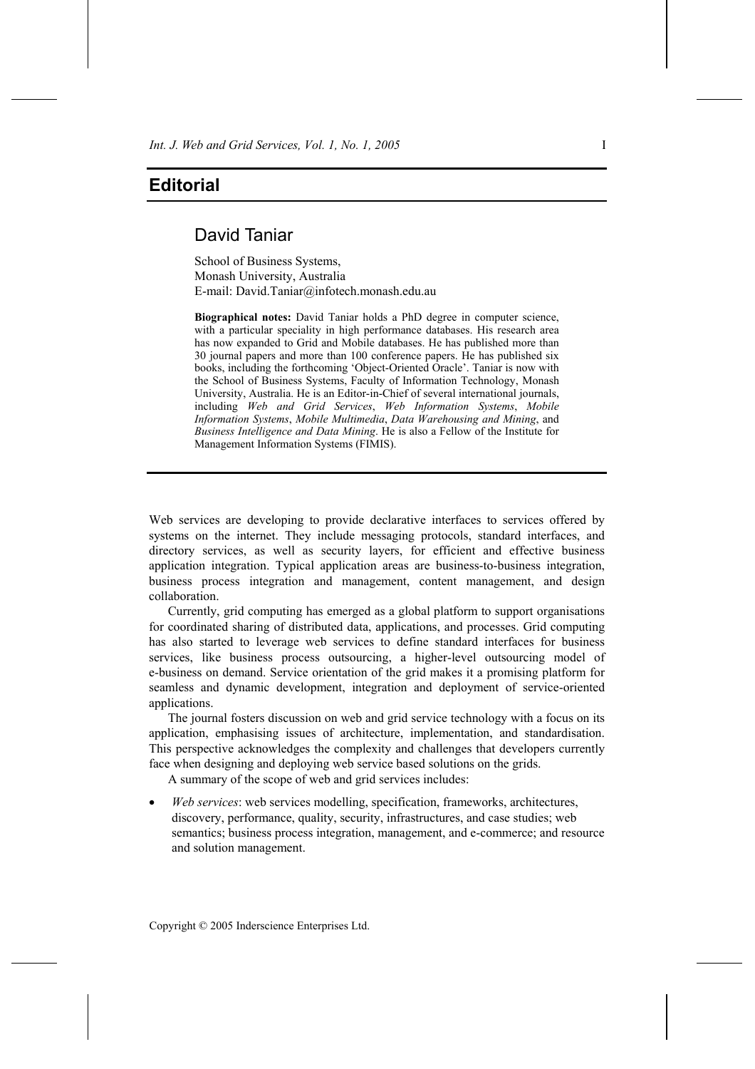## **Editorial**

## David Taniar

School of Business Systems, Monash University, Australia E-mail: David.Taniar@infotech.monash.edu.au

**Biographical notes:** David Taniar holds a PhD degree in computer science, with a particular speciality in high performance databases. His research area has now expanded to Grid and Mobile databases. He has published more than 30 journal papers and more than 100 conference papers. He has published six books, including the forthcoming 'Object-Oriented Oracle'. Taniar is now with the School of Business Systems, Faculty of Information Technology, Monash University, Australia. He is an Editor-in-Chief of several international journals, including *Web and Grid Services*, *Web Information Systems*, *Mobile Information Systems*, *Mobile Multimedia*, *Data Warehousing and Mining*, and *Business Intelligence and Data Mining*. He is also a Fellow of the Institute for Management Information Systems (FIMIS).

Web services are developing to provide declarative interfaces to services offered by systems on the internet. They include messaging protocols, standard interfaces, and directory services, as well as security layers, for efficient and effective business application integration. Typical application areas are business-to-business integration, business process integration and management, content management, and design collaboration.

Currently, grid computing has emerged as a global platform to support organisations for coordinated sharing of distributed data, applications, and processes. Grid computing has also started to leverage web services to define standard interfaces for business services, like business process outsourcing, a higher-level outsourcing model of e-business on demand. Service orientation of the grid makes it a promising platform for seamless and dynamic development, integration and deployment of service-oriented applications.

The journal fosters discussion on web and grid service technology with a focus on its application, emphasising issues of architecture, implementation, and standardisation. This perspective acknowledges the complexity and challenges that developers currently face when designing and deploying web service based solutions on the grids.

A summary of the scope of web and grid services includes:

• *Web services*: web services modelling, specification, frameworks, architectures, discovery, performance, quality, security, infrastructures, and case studies; web semantics; business process integration, management, and e-commerce; and resource and solution management.